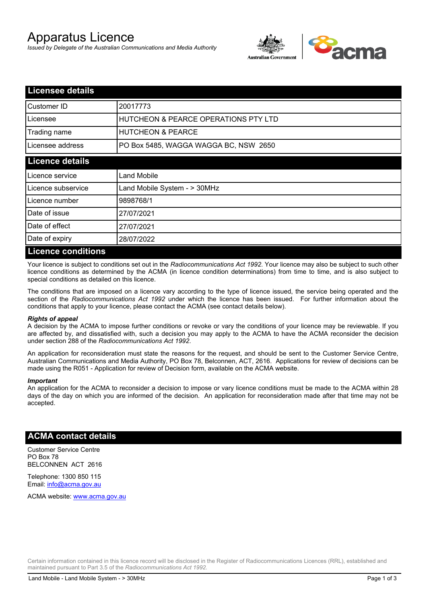# Apparatus Licence

*Issued by Delegate of the Australian Communications and Media Authority*



| <b>Licensee details</b>   |                                                 |
|---------------------------|-------------------------------------------------|
| Customer ID               | 20017773                                        |
| Licensee                  | <b>HUTCHEON &amp; PEARCE OPERATIONS PTY LTD</b> |
| Trading name              | <b>HUTCHEON &amp; PEARCE</b>                    |
| Licensee address          | PO Box 5485, WAGGA WAGGA BC, NSW 2650           |
| <b>Licence details</b>    |                                                 |
| Licence service           | Land Mobile                                     |
| Licence subservice        | Land Mobile System - > 30MHz                    |
| Licence number            | 9898768/1                                       |
| Date of issue             | 27/07/2021                                      |
| Date of effect            | 27/07/2021                                      |
| Date of expiry            | 28/07/2022                                      |
| <b>Licence conditions</b> |                                                 |

Your licence is subject to conditions set out in the *Radiocommunications Act 1992*. Your licence may also be subject to such other licence conditions as determined by the ACMA (in licence condition determinations) from time to time, and is also subject to special conditions as detailed on this licence.

The conditions that are imposed on a licence vary according to the type of licence issued, the service being operated and the section of the *Radiocommunications Act 1992* under which the licence has been issued. For further information about the conditions that apply to your licence, please contact the ACMA (see contact details below).

### *Rights of appeal*

A decision by the ACMA to impose further conditions or revoke or vary the conditions of your licence may be reviewable. If you are affected by, and dissatisfied with, such a decision you may apply to the ACMA to have the ACMA reconsider the decision under section 288 of the *Radiocommunications Act 1992*.

An application for reconsideration must state the reasons for the request, and should be sent to the Customer Service Centre, Australian Communications and Media Authority, PO Box 78, Belconnen, ACT, 2616. Applications for review of decisions can be made using the R051 - Application for review of Decision form, available on the ACMA website.

#### *Important*

An application for the ACMA to reconsider a decision to impose or vary licence conditions must be made to the ACMA within 28 days of the day on which you are informed of the decision. An application for reconsideration made after that time may not be accepted.

### **ACMA contact details**

Customer Service Centre PO Box 78 BELCONNEN ACT 2616

Telephone: 1300 850 115 Email: info@acma.gov.au

ACMA website: www.acma.gov.au

Certain information contained in this licence record will be disclosed in the Register of Radiocommunications Licences (RRL), established and maintained pursuant to Part 3.5 of the *Radiocommunications Act 1992.*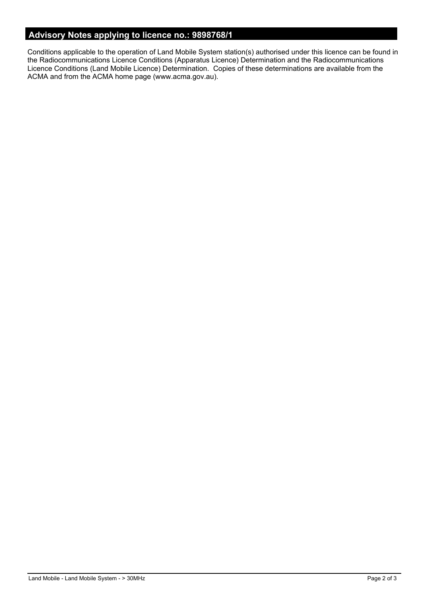# **Advisory Notes applying to licence no.: 9898768/1**

Conditions applicable to the operation of Land Mobile System station(s) authorised under this licence can be found in the Radiocommunications Licence Conditions (Apparatus Licence) Determination and the Radiocommunications Licence Conditions (Land Mobile Licence) Determination. Copies of these determinations are available from the ACMA and from the ACMA home page (www.acma.gov.au).